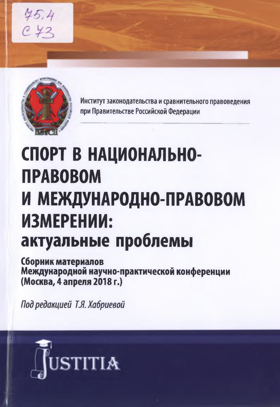$45.4$  $C43$ 



**Институт законодательства и сравнительного правоведения при Правительстве Российской Федерации**

## **СПОРТ В НАЦИОНАЛЬНО-ПРАВОВОМ И МЕЖДУНАРОДНО-ПРАВОВОМ ИЗМЕРЕНИИ: актуальные проблемы**

**Сборник материалов Международной научно-практической конференции (Москва, 4 апреля 2018 г.)**

*Под редакцией Т.Я.Хабриевой*

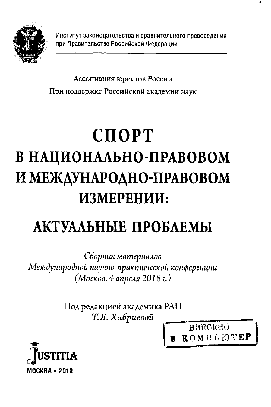

**Институт законодательства и сравнительного правоведения при Правительстве Российской Федерации**

**Ассоциация юристов России При поддержке Российской академии наук**

### **СПОРТ** В НАЦИОНАЛЬНО-ПРАВОВОМ И МЕЖДУНАРОДНО-ПРАВОВОМ ИЗМЕРЕНИИ:

### АКТУАЛЬНЫЕ ПРОБЛЕМЫ

*Сборник материалов Международной научно-практической конференции (Москва, 4 апреля 2018 г.)*

> Под редакцией академика РАН *Т.Я. Хабриевой*

ВНЕСЕНО **В КОМПЬЮТЕР**

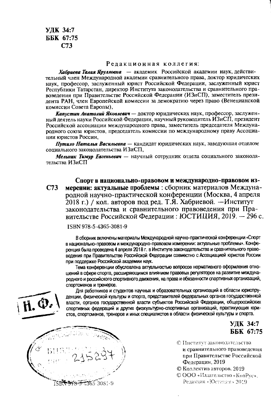#### Редакционная коллегия:

*Хабриева Талия Ярулловна* **— академик Российской академии наук, действительный член Международной академии сравнительного права, доктор юридических наук, профессор, заслуженный юрист Российской Федерации, заслуженный юрист Республики Татарстан, директор Института законодательства и сравнительного правоведения при Правительстве Российской Федерации (ИЗиСП), заместитель президента РАН, член Европейской комиссии за демократию через право (Венецианской комиссии Совета Европы),**

*Капустин Анатолий Яковлевич —* **доктор юридических наук, профессор, заслуженный деятель науки Российской Федерации, научный руководитель ИЗиСП, президент Российской ассоциации международного права, заместитель председателя Международного союза юристов, председатель комиссии по международному праву Ассоциации юристов России,**

*Путило Наталья Васильевна* **— кандидат юридических наук, заведующая отделом социального законодательства ИЗиСП,**

*Мельник Тимур Евгеньевич —* **научный сотрудник отдела социального законодательства ИЗиСП**

Спорт в национально-правовом и международно-правовом из-С73 мерении: актуальные проблемы : сборник материалов Международной научно-практической конференции (Москва, 4 апреля 2018 г.) / кол. авторов под ред. Т.Я. Хабриевой. —Институт законодательства и сравнительного правоведения при Правительстве Российской Федерации : ЮСТИЦИЯ, 2019. - 296 с.

#### **ISBN 978-5-4365-3081-9**

**В сборник включены материалы Мездународной научно-практической конференции «Спорт в национально-правовом и международно-правовом измерении: актуальные проблемы». Конференция была проведена 4 апреля 2018 г. в Институте законодательства и сравнительного правоведения при Правительстве Российской Федерации совместно с Ассоциацией юристов России при поддержке Российской академии наук.**

**Тема конференции обусловлена актуальностью вопросов нормативного оформления отношений в сфере спорта, расширяющимся влиянием правовых регуляторов на развитие международного и российского спортивного движения, на права и обязанности спортивных организаций, спортсменов и тренеров.**



### УДК 34:7 ББК 67:75

**1**

- © Институт законодательства **и сравнительного правоведения при Правительстве Российской Федерации, 2019**
- **© Коллектив авторов. 2019**
- **© ООО** «Издательство «КноРус», Редакция «Юстиния» 2019

 $\sqrt{\mathbf{h}}$ .

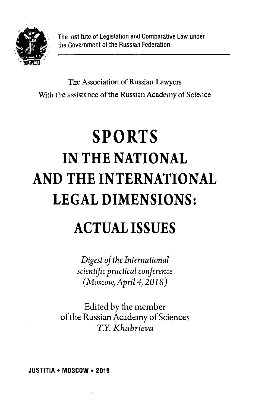

**The Association of Russian Lawyers** With the assistance of the Russian Academy of Science

# **SPORTS** IN THE NATIONAL AND THE INTERNATIONAL LEGAL DIMENSIONS: ACTUAL ISSUES

*Digest of the International scientific practical conference (Moscow, April 4 ,2 0 1 8 )*

Edited by the member of the Russian Academy of Sciences *T.Y. Khabrieva*

**JUSTITIA • MOSCOW • 2019**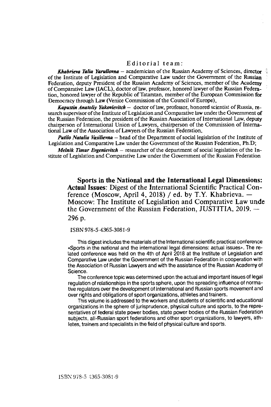#### **Editorial team:**

*Khabrieva Talia Yarutlovna* **- academician of the Russian Academy of Sciences, director i of the Institute of Legislation and Comparative Law under the Government of the Russian Federation, deputy President of the Russian Academy of Sciences, member of the Academy of Comparative Law (IACL), doctor of law, professor, honored lawyer of the Russian Federation, honored lawyer of the Republic of Tatarstan, member of the European Commission for Democracy through Law (Venice Commission of the Council of Europe),**

*Kapustin Anatoliy Yakovlevitch* **— doctor of law, professor, honored scientist of Russia, research supervisor of the Institute of Legislation and Comparative law under the Government of the Russian Federation, the president of the Russian Association of International Law, deputy chairperson of International Union of Lawyers, chairperson of the Commission of International Law of the Association of Lawyers of the Russian Federation,**

*Putilo Natalia Vasilievna* **- head of the Department of social legislation of the Institute of Legislation and Comparative Law under the Government of the Russian Federation, Ph.D;**

*Melnik Timur Evgenievitch -* **researcher of the department of social legislation of the Institute of Legislation and Comparative Law under the Government of the Russian Federation**

**Sports in the National and the International Legal Dimensions: Actual Issues:** Digest of the International Scientific Practical Conference (Moscow, April 4, 2018) / ed. by T.Y. Khabrieva. — Moscow: The Institute of Legislation and Comparative Law unde the Government of the Russian Federation, JUSTITIA, 2019. — 296 p.

**ISBN 978-5-4365-3081-9**

**This digest includes the materials of the International scientific practical conference «Sports in the national and the international legal dimensions: actual issues». The related conference was held on the 4th of April 2018 at the Institute of Legislation and Comparative Law under the Government of the Russian Federation in cooperation with the Association of Russian Lawyers and with the assistance of the Russian Academy of Science.**

**The conference topic was determ ined upon the actual and important issues of legal** regulation of relationships in the sports sphere, upon the spreading influence of normative regulators over the development of international and Russian sports movement and **over rights and obligations of sport organizations, athletes and trainers.**

**This volume is addressed to the workers and students of scientific and educational organizations in the sphere of jurisprudence, physical culture and sports, to the representatives of federal state power bodies, state power bodies of the Russian Federation subjects, all-Russian sport federations and other sport organizations, to lawyers, athletes, trainers and specialists in the field of physical culture and sports.**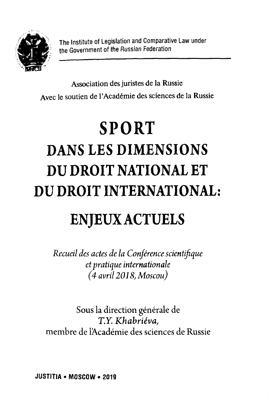

**The Institute of Legislation and Comparative Law under the Government of the Russian Federation**

**Association des juristes de la Russie** Avec le soutien de l'Académie des sciences de la Russie

# **SPORT** DANS LES DIMENSIONS DU DROIT NATIONAL ET DU DROIT INTERNATIONAL: ENJEUXACTUELS

*Recueil des actes de la Conference scientifique et pratique internationale (4 avril 2 0 1 8 Moscou)*

Sous la direction générale de *T.Y. Khabrieva,* membre de lAcademie des sciences de Russie

**JUSTITIA • MOSCOW • 2019**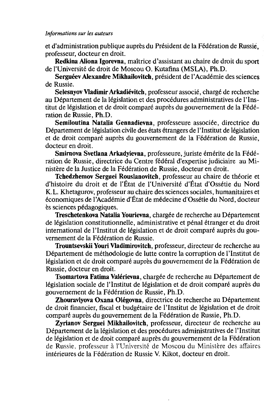#### *Informations sur les auteurs*

et d'administration publique aupres du President de la Federation de Russie, professeur, docteur en droit.

Redkina Aliona Igorevna, maîtrice d'assistant au chaire de droit du sport de l'Universite de droit de Moscou O. Kutafina (MSLA), Ph.D.

Serguéev Alexandre Mikhailovitch, président de l'Académie des sciences de Russie.

**Selesnyov Vladimir Arkadievitch,** professeur associe, charge de recherche au Département de la législation et des procédures administratives de l'Institut de législation et de droit comparé auprès du gouvernement de la Fédération de Russie, Ph.D.

Semiloutina Natalia Gennadievna, professeure associée, directrice du Département de législation civile des états étrangers de l'Institut de législation et de droit compare aupres du gouvemement de la Federation de Russie, docteur en droit.

Smirnova Svetlana Arkadyievna, professeure, juriste émérite de la Fédération de Russie, directrice du Centre federal d'expertise judiciaire au Ministère de la Justice de la Fédération de Russie, docteur en droit.

**Tchedzhemov Serguei Rouslanovitch,** professeur au chaire de theorie et d'histoire du droit et de l'Etat de l'Universite d'Etat d'Ossetie du Nord K.L. Khetagurov, professeur au chaire des sciences sociales, humanitaires et 6conomiques de l'Acad6mie d'Etat de medecine d'Ossetie du Nord, docteur es sciences pedagogiques.

Treschetenkova Natalia Yourievna, chargée de recherche au Département de législation constitutionnelle, administrative et pénal étranger et du droit international de l'Institut de législation et de droit comparé auprès du gouvernement de la Fédération de Russie.

**Trountsevskii Youri Vladimirovitch,** professeur, directeur de recherche au Departement de methodologie de lutte contre la corruption de l'lnstitut de législation et de droit comparé auprès du gouvernement de la Fédération de Russie, docteur en droit.

Tsomartova Fatima Valérievna, chargée de recherche au Département de législation sociale de l'Institut de législation et de droit comparé auprès du gouvemement de la Federation de Russie, Ph.D.

Zhouravlyova Oxana Olégovna, directrice de recherche au Département de droit financier, fiscal et budgétaire de l'Institut de législation et de droit compare aupres du gouvemement de la Federation de Russie, Ph.D.

**Zyrianov Serguei Mikhailovitch,** professeur, directeur de recherche au Département de la législation et des procédures administratives de l'Institut de législation et de droit comparé auprès du gouvernement de la Fédération de Russie, professeur à l'Université de Moscou du Ministère des affaires intérieures de la Fédération de Russie V. Kikot, docteur en droit.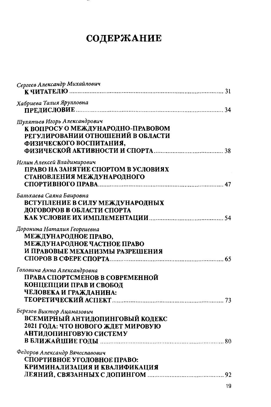### **СОДЕРЖАНИЕ**

-

| Сергеев Александр Михайлович                                                                                                      |
|-----------------------------------------------------------------------------------------------------------------------------------|
| Хабриева Талия Ярулловна                                                                                                          |
| Шулятьев Игорь Александрович<br>К ВОПРОСУ О МЕЖДУНАРОДНО-ПРАВОВОМ<br>РЕГУЛИРОВАНИИ ОТНОШЕНИЙ В ОБЛАСТИ<br>ФИЗИЧЕСКОГО ВОСПИТАНИЯ. |
| Иглин Алексей Владимирович<br>ПРАВО НА ЗАНЯТИЕ СПОРТОМ В УСЛОВИЯХ<br>СТАНОВЛЕНИЯ МЕЖДУНАРОДНОГО                                   |
| Бальхаева Саяна Баировна<br>ВСТУПЛЕНИЕ В СИЛУ МЕЖДУНАРОДНЫХ<br>ДОГОВОРОВ В ОБЛАСТИ СПОРТА                                         |
| Доронина Наталия Георгиевна<br>МЕЖДУНАРОДНОЕ ПРАВО.<br>МЕЖДУНАРОДНОЕ ЧАСТНОЕ ПРАВО<br>И ПРАВОВЫЕ МЕХАНИЗМЫ РАЗРЕШЕНИЯ             |
| Головина Анна Александровна<br>ПРАВА СПОРТСМЕНОВ В СОВРЕМЕННОЙ<br>КОНЦЕПЦИИ ПРАВ И СВОБОЛ<br>ЧЕЛОВЕКА И ГРАЖДАНИНА:               |
| Березов Виктор Ацамазович<br>ВСЕМИРНЫЙ АНТИДОПИНГОВЫЙ КОДЕКС<br>2021 ГОДА: ЧТО НОВОГО ЖДЕТ МИРОВУЮ<br>АНТИДОПИНГОВУЮ СИСТЕМУ      |
| Федоров Александр Вячеславович<br>СПОРТИВНОЕ УГОЛОВНОЕ ПРАВО:<br>КРИМИНАЛИЗАЦИЯ И КВАЛИФИКАЦИЯ                                    |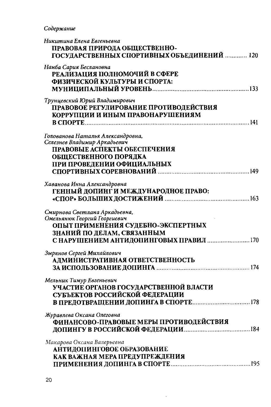*Содержание*

| Никитина Елена Евгеньевна<br>ПРАВОВАЯ ПРИРОДА ОБЩЕСТВЕННО-<br>ГОСУДАРСТВЕННЫХ СПОРТИВНЫХ ОБЪЕДИНЕНИЙ  120                                                                    |
|------------------------------------------------------------------------------------------------------------------------------------------------------------------------------|
| Нанба Сария Беслановна<br>РЕАЛИЗАЦИЯ ПОЛНОМОЧИЙ В СФЕРЕ<br>ФИЗИЧЕСКОЙ КУЛЬТУРЫ И СПОРТА:                                                                                     |
| Трунцевский Юрий Владимирович<br>ПРАВОВОЕ РЕГУЛИРОВАНИЕ ПРОТИВОДЕЙСТВИЯ<br>КОРРУПЦИИ И ИНЫМ ПРАВОНАРУШЕНИЯМ                                                                  |
| Голованова Наталья Александровна,<br>Селезнев Владимир Аркадьевич<br>ПРАВОВЫЕ АСПЕКТЫ ОБЕСПЕЧЕНИЯ<br>ОБЩЕСТВЕННОГО ПОРЯДКА<br>ПРИ ПРОВЕДЕНИИ ОФИЦИАЛЬНЫХ                     |
| Хаванова Инна Александровна<br>ГЕННЫЙ ДОПИНГ И МЕЖДУНАРОДНОЕ ПРАВО:                                                                                                          |
| Смирнова Светлана Аркадьевна,<br>Омельянюк Георгий Георгиевич<br>ОПЫТ ПРИМЕНЕНИЯ СУДЕБНО-ЭКСПЕРТНЫХ<br>ЗНАНИЙ ПО ДЕЛАМ, СВЯЗАННЫМ<br>С НАРУШЕНИЕМ АНТИДОПИНГОВЫХ ПРАВИЛ  170 |
| Зырянов Сергей Михайлович<br>АДМИНИСТРАТИВНАЯ ОТВЕТСТВЕННОСТЬ                                                                                                                |
| Мельник Тимур Евгеньевич<br>УЧАСТИЕ ОРГАНОВ ГОСУДАРСТВЕННОЙ ВЛАСТИ<br>СУБЪЕКТОВ РОССИЙСКОЙ ФЕДЕРАЦИИ                                                                         |
| Журавлева Оксана Олеговна<br>ФИНАНСОВО-ПРАВОВЫЕ МЕРЫ ПРОТИВОДЕЙСТВИЯ                                                                                                         |
| Макарова Оксана Валерьевна<br>АНТИДОПИНГОВОЕ ОБРАЗОВАНИЕ<br>КАК ВАЖНАЯ МЕРА ПРЕДУПРЕЖДЕНИЯ                                                                                   |

 $\bar{\beta}$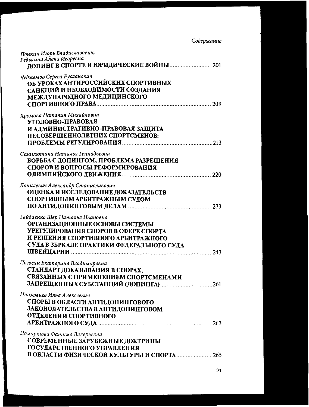*Содержание*

| Понкин Игорь Владиславович,<br>Редькина Алена Игоревна                                                                                                                                      |
|---------------------------------------------------------------------------------------------------------------------------------------------------------------------------------------------|
| Чеджемов Сергей Русланович<br>ОБ УРОКАХ АНТИРОССИЙСКИХ СПОРТИВНЫХ<br>САНКЦИЙ И НЕОБХОДИМОСТИ СОЗДАНИЯ<br>МЕЖДУНАРОДНОГО МЕДИЦИНСКОГО                                                        |
| Хромова Наталия Михайловна<br>УГОЛОВНО-ПРАВОВАЯ<br>И АЛМИНИСТРАТИВНО-ПРАВОВАЯ ЗАЩИТА<br>НЕСОВЕРШЕННОЛЕТНИХ СПОРТСМЕНОВ:                                                                     |
| Семилютина Наталья Геннадьевна<br>БОРЬБА С ДОПИНГОМ, ПРОБЛЕМА РАЗРЕШЕНИЯ<br>СПОРОВ И ВОПРОСЫ РЕФОРМИРОВАНИЯ                                                                                 |
| Данилевич Александр Станиславович<br>ОЦЕНКА И ИССЛЕДОВАНИЕ ДОКАЗАТЕЛЬСТВ<br>СПОРТИВНЫМ АРБИТРАЖНЫМ СУДОМ                                                                                    |
| Гайдаенко Шер Наталья Ивановна<br>ОРГАНИЗАЦИОННЫЕ ОСНОВЫ СИСТЕМЫ<br>УРЕГУЛИРОВАНИЯ СПОРОВ В СФЕРЕ СПОРТА<br>И РЕШЕНИЯ СПОРТИВНОГО АРБИТРАЖНОГО<br>СУДА В ЗЕРКАЛЕ ПРАКТИКИ ФЕДЕРАЛЬНОГО СУДА |
| Погосян Екатерина Владимировна<br>СТАНДАРТ ДОКАЗЫВАНИЯ В СПОРАХ,<br>СВЯЗАННЫХ С ПРИМЕНЕНИЕМ СПОРТСМЕНАМИ                                                                                    |
| Иноземцев Илья Алексеевич<br>СПОРЫ В ОБЛАСТИ АНТИДОПИНГОВОГО<br>ЗАКОНОДАТЕЛЬСТВА В АНТИДОПИНГОВОМ<br>ОТДЕЛЕНИИ СПОРТИВНОГО                                                                  |
| Цомартова Фатима Валерьевна<br>СОВРЕМЕННЫЕ ЗАРУБЕЖНЫЕ ДОКТРИНЫ<br>ГОСУДАРСТВЕННОГО УПРАВЛЕНИЯ<br>В ОБЛАСТИ ФИЗИЧЕСКОЙ КУЛЬТУРЫ И СПОРТА 265                                                 |